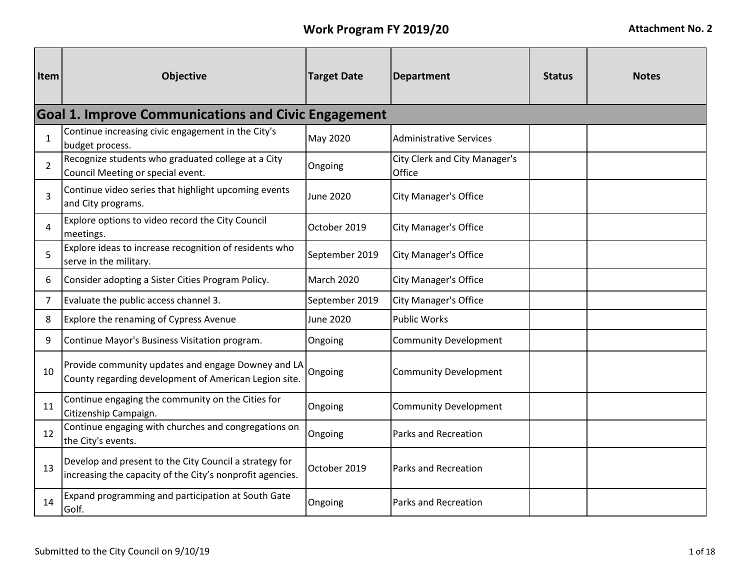| Item           | Objective                                                                                                           | <b>Target Date</b> | <b>Department</b>                              | <b>Status</b> | <b>Notes</b> |
|----------------|---------------------------------------------------------------------------------------------------------------------|--------------------|------------------------------------------------|---------------|--------------|
|                | <b>Goal 1. Improve Communications and Civic Engagement</b>                                                          |                    |                                                |               |              |
| $\mathbf{1}$   | Continue increasing civic engagement in the City's<br>budget process.                                               | May 2020           | <b>Administrative Services</b>                 |               |              |
| $\overline{2}$ | Recognize students who graduated college at a City<br>Council Meeting or special event.                             | Ongoing            | <b>City Clerk and City Manager's</b><br>Office |               |              |
| 3              | Continue video series that highlight upcoming events<br>and City programs.                                          | <b>June 2020</b>   | <b>City Manager's Office</b>                   |               |              |
| 4              | Explore options to video record the City Council<br>meetings.                                                       | October 2019       | <b>City Manager's Office</b>                   |               |              |
| 5              | Explore ideas to increase recognition of residents who<br>serve in the military.                                    | September 2019     | <b>City Manager's Office</b>                   |               |              |
| 6              | Consider adopting a Sister Cities Program Policy.                                                                   | <b>March 2020</b>  | <b>City Manager's Office</b>                   |               |              |
| 7              | Evaluate the public access channel 3.                                                                               | September 2019     | <b>City Manager's Office</b>                   |               |              |
| 8              | Explore the renaming of Cypress Avenue                                                                              | <b>June 2020</b>   | <b>Public Works</b>                            |               |              |
| 9              | Continue Mayor's Business Visitation program.                                                                       | Ongoing            | <b>Community Development</b>                   |               |              |
| 10             | Provide community updates and engage Downey and LA<br>County regarding development of American Legion site.         | Ongoing            | <b>Community Development</b>                   |               |              |
| 11             | Continue engaging the community on the Cities for<br>Citizenship Campaign.                                          | Ongoing            | <b>Community Development</b>                   |               |              |
| 12             | Continue engaging with churches and congregations on<br>the City's events.                                          | Ongoing            | Parks and Recreation                           |               |              |
| 13             | Develop and present to the City Council a strategy for<br>increasing the capacity of the City's nonprofit agencies. | October 2019       | Parks and Recreation                           |               |              |
| 14             | Expand programming and participation at South Gate<br>Golf.                                                         | Ongoing            | Parks and Recreation                           |               |              |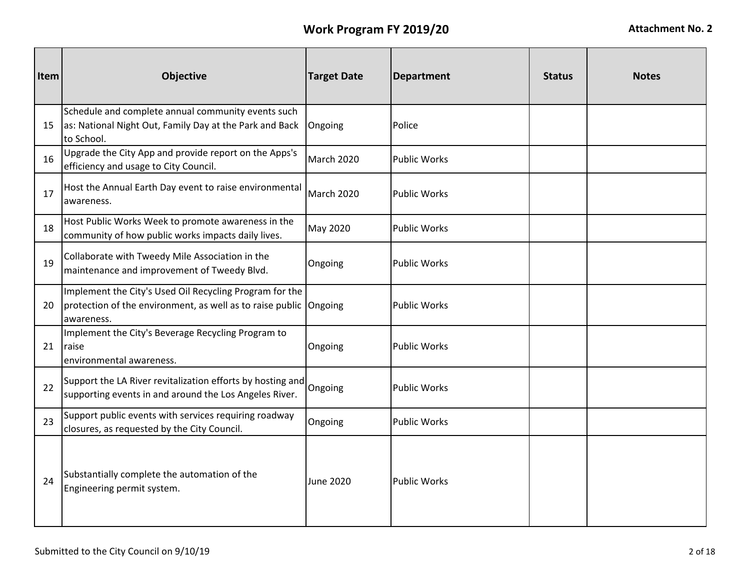| Item | <b>Objective</b>                                                                                                                           | <b>Target Date</b> | <b>Department</b>   | <b>Status</b> | <b>Notes</b> |
|------|--------------------------------------------------------------------------------------------------------------------------------------------|--------------------|---------------------|---------------|--------------|
| 15   | Schedule and complete annual community events such<br>as: National Night Out, Family Day at the Park and Back<br>to School.                | Ongoing            | Police              |               |              |
| 16   | Upgrade the City App and provide report on the Apps's<br>efficiency and usage to City Council.                                             | <b>March 2020</b>  | <b>Public Works</b> |               |              |
| 17   | Host the Annual Earth Day event to raise environmental<br>awareness.                                                                       | March 2020         | <b>Public Works</b> |               |              |
| 18   | Host Public Works Week to promote awareness in the<br>community of how public works impacts daily lives.                                   | May 2020           | <b>Public Works</b> |               |              |
| 19   | Collaborate with Tweedy Mile Association in the<br>maintenance and improvement of Tweedy Blvd.                                             | Ongoing            | <b>Public Works</b> |               |              |
| 20   | Implement the City's Used Oil Recycling Program for the<br>protection of the environment, as well as to raise public Ongoing<br>awareness. |                    | <b>Public Works</b> |               |              |
| 21   | Implement the City's Beverage Recycling Program to<br>raise<br>environmental awareness.                                                    | Ongoing            | <b>Public Works</b> |               |              |
| 22   | Support the LA River revitalization efforts by hosting and<br>supporting events in and around the Los Angeles River.                       | Ongoing            | <b>Public Works</b> |               |              |
| 23   | Support public events with services requiring roadway<br>closures, as requested by the City Council.                                       | Ongoing            | <b>Public Works</b> |               |              |
| 24   | Substantially complete the automation of the<br>Engineering permit system.                                                                 | <b>June 2020</b>   | <b>Public Works</b> |               |              |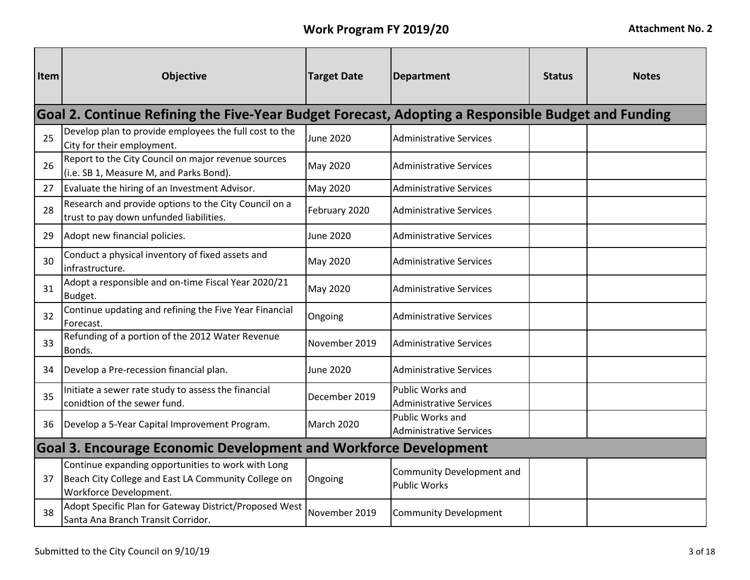| Item | <b>Objective</b>                                                                                                                           | <b>Target Date</b> | <b>Department</b>                                       | <b>Status</b> | <b>Notes</b> |  |  |  |
|------|--------------------------------------------------------------------------------------------------------------------------------------------|--------------------|---------------------------------------------------------|---------------|--------------|--|--|--|
|      | Goal 2. Continue Refining the Five-Year Budget Forecast, Adopting a Responsible Budget and Funding                                         |                    |                                                         |               |              |  |  |  |
| 25   | Develop plan to provide employees the full cost to the<br>City for their employment.                                                       | June 2020          | <b>Administrative Services</b>                          |               |              |  |  |  |
| 26   | Report to the City Council on major revenue sources<br>(i.e. SB 1, Measure M, and Parks Bond).                                             | May 2020           | <b>Administrative Services</b>                          |               |              |  |  |  |
| 27   | Evaluate the hiring of an Investment Advisor.                                                                                              | May 2020           | <b>Administrative Services</b>                          |               |              |  |  |  |
| 28   | Research and provide options to the City Council on a<br>trust to pay down unfunded liabilities.                                           | February 2020      | <b>Administrative Services</b>                          |               |              |  |  |  |
| 29   | Adopt new financial policies.                                                                                                              | June 2020          | Administrative Services                                 |               |              |  |  |  |
| 30   | Conduct a physical inventory of fixed assets and<br>infrastructure.                                                                        | May 2020           | <b>Administrative Services</b>                          |               |              |  |  |  |
| 31   | Adopt a responsible and on-time Fiscal Year 2020/21<br>Budget.                                                                             | May 2020           | <b>Administrative Services</b>                          |               |              |  |  |  |
| 32   | Continue updating and refining the Five Year Financial<br>Forecast.                                                                        | Ongoing            | <b>Administrative Services</b>                          |               |              |  |  |  |
| 33   | Refunding of a portion of the 2012 Water Revenue<br>Bonds.                                                                                 | November 2019      | <b>Administrative Services</b>                          |               |              |  |  |  |
| 34   | Develop a Pre-recession financial plan.                                                                                                    | <b>June 2020</b>   | <b>Administrative Services</b>                          |               |              |  |  |  |
| 35   | Initiate a sewer rate study to assess the financial<br>conidtion of the sewer fund.                                                        | December 2019      | Public Works and<br><b>Administrative Services</b>      |               |              |  |  |  |
| 36   | Develop a 5-Year Capital Improvement Program.                                                                                              | <b>March 2020</b>  | Public Works and<br><b>Administrative Services</b>      |               |              |  |  |  |
|      | <b>Goal 3. Encourage Economic Development and Workforce Development</b>                                                                    |                    |                                                         |               |              |  |  |  |
| 37   | Continue expanding opportunities to work with Long<br>Beach City College and East LA Community College on<br><b>Workforce Development.</b> | Ongoing            | <b>Community Development and</b><br><b>Public Works</b> |               |              |  |  |  |
| 38   | Adopt Specific Plan for Gateway District/Proposed West<br>Santa Ana Branch Transit Corridor.                                               | November 2019      | <b>Community Development</b>                            |               |              |  |  |  |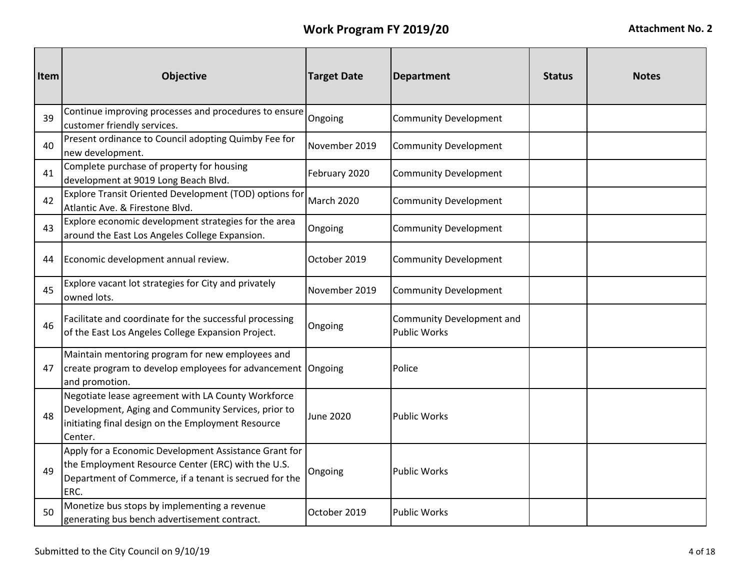| Item | <b>Objective</b>                                                                                                                                                              | <b>Target Date</b> | <b>Department</b>                                | <b>Status</b> | <b>Notes</b> |
|------|-------------------------------------------------------------------------------------------------------------------------------------------------------------------------------|--------------------|--------------------------------------------------|---------------|--------------|
| 39   | Continue improving processes and procedures to ensure<br>customer friendly services.                                                                                          | Ongoing            | <b>Community Development</b>                     |               |              |
| 40   | Present ordinance to Council adopting Quimby Fee for<br>new development.                                                                                                      | November 2019      | <b>Community Development</b>                     |               |              |
| 41   | Complete purchase of property for housing<br>development at 9019 Long Beach Blvd.                                                                                             | February 2020      | <b>Community Development</b>                     |               |              |
| 42   | Explore Transit Oriented Development (TOD) options for<br>Atlantic Ave. & Firestone Blvd.                                                                                     | March 2020         | <b>Community Development</b>                     |               |              |
| 43   | Explore economic development strategies for the area<br>around the East Los Angeles College Expansion.                                                                        | Ongoing            | <b>Community Development</b>                     |               |              |
| 44   | Economic development annual review.                                                                                                                                           | October 2019       | <b>Community Development</b>                     |               |              |
| 45   | Explore vacant lot strategies for City and privately<br>owned lots.                                                                                                           | November 2019      | <b>Community Development</b>                     |               |              |
| 46   | Facilitate and coordinate for the successful processing<br>of the East Los Angeles College Expansion Project.                                                                 | Ongoing            | Community Development and<br><b>Public Works</b> |               |              |
| 47   | Maintain mentoring program for new employees and<br>create program to develop employees for advancement Ongoing<br>and promotion.                                             |                    | Police                                           |               |              |
| 48   | Negotiate lease agreement with LA County Workforce<br>Development, Aging and Community Services, prior to<br>initiating final design on the Employment Resource<br>Center.    | <b>June 2020</b>   | <b>Public Works</b>                              |               |              |
| 49   | Apply for a Economic Development Assistance Grant for<br>the Employment Resource Center (ERC) with the U.S.<br>Department of Commerce, if a tenant is secrued for the<br>ERC. | Ongoing            | <b>Public Works</b>                              |               |              |
| 50   | Monetize bus stops by implementing a revenue<br>generating bus bench advertisement contract.                                                                                  | October 2019       | <b>Public Works</b>                              |               |              |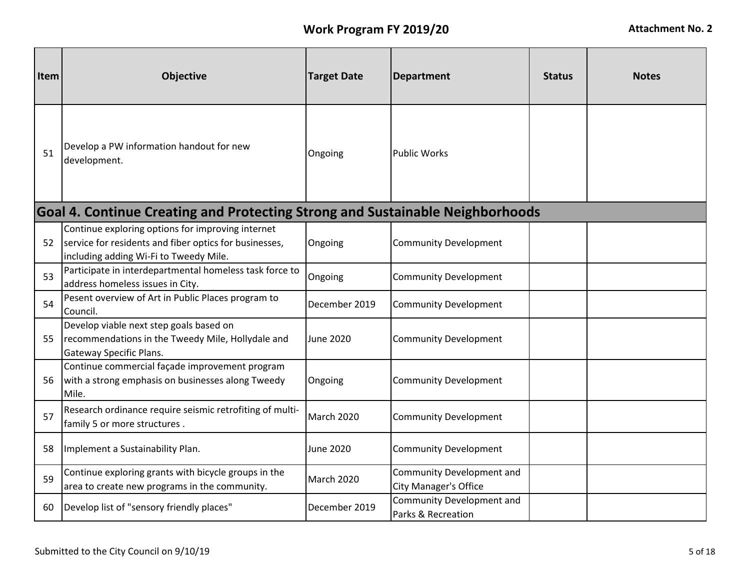| <b>Item</b> | <b>Objective</b>                                                                                                                                      | <b>Target Date</b> | <b>Department</b>                                         | <b>Status</b> | <b>Notes</b> |
|-------------|-------------------------------------------------------------------------------------------------------------------------------------------------------|--------------------|-----------------------------------------------------------|---------------|--------------|
| 51          | Develop a PW information handout for new<br>development.                                                                                              | Ongoing            | <b>Public Works</b>                                       |               |              |
|             | Goal 4. Continue Creating and Protecting Strong and Sustainable Neighborhoods                                                                         |                    |                                                           |               |              |
| 52          | Continue exploring options for improving internet<br>service for residents and fiber optics for businesses,<br>including adding Wi-Fi to Tweedy Mile. | Ongoing            | <b>Community Development</b>                              |               |              |
| 53          | Participate in interdepartmental homeless task force to<br>address homeless issues in City.                                                           | Ongoing            | <b>Community Development</b>                              |               |              |
| 54          | Pesent overview of Art in Public Places program to<br>Council.                                                                                        | December 2019      | <b>Community Development</b>                              |               |              |
| 55          | Develop viable next step goals based on<br>recommendations in the Tweedy Mile, Hollydale and<br>Gateway Specific Plans.                               | <b>June 2020</b>   | <b>Community Development</b>                              |               |              |
| 56          | Continue commercial façade improvement program<br>with a strong emphasis on businesses along Tweedy<br>Mile.                                          | Ongoing            | <b>Community Development</b>                              |               |              |
| 57          | Research ordinance require seismic retrofiting of multi-<br>family 5 or more structures.                                                              | March 2020         | <b>Community Development</b>                              |               |              |
| 58          | Implement a Sustainability Plan.                                                                                                                      | June 2020          | <b>Community Development</b>                              |               |              |
| 59          | Continue exploring grants with bicycle groups in the<br>area to create new programs in the community.                                                 | <b>March 2020</b>  | Community Development and<br><b>City Manager's Office</b> |               |              |
| 60          | Develop list of "sensory friendly places"                                                                                                             | December 2019      | Community Development and<br>Parks & Recreation           |               |              |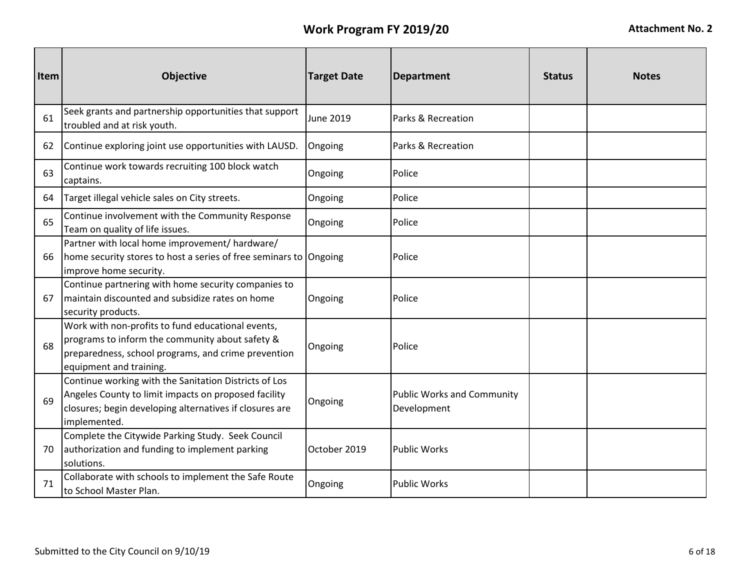| Item | <b>Objective</b>                                                                                                                                                                         | <b>Target Date</b> | <b>Department</b>                                | <b>Status</b> | <b>Notes</b> |
|------|------------------------------------------------------------------------------------------------------------------------------------------------------------------------------------------|--------------------|--------------------------------------------------|---------------|--------------|
| 61   | Seek grants and partnership opportunities that support<br>troubled and at risk youth.                                                                                                    | <b>June 2019</b>   | Parks & Recreation                               |               |              |
| 62   | Continue exploring joint use opportunities with LAUSD.                                                                                                                                   | Ongoing            | Parks & Recreation                               |               |              |
| 63   | Continue work towards recruiting 100 block watch<br>captains.                                                                                                                            | Ongoing            | Police                                           |               |              |
| 64   | Target illegal vehicle sales on City streets.                                                                                                                                            | Ongoing            | Police                                           |               |              |
| 65   | Continue involvement with the Community Response<br>Team on quality of life issues.                                                                                                      | Ongoing            | Police                                           |               |              |
| 66   | Partner with local home improvement/ hardware/<br>home security stores to host a series of free seminars to Ongoing<br>improve home security.                                            |                    | Police                                           |               |              |
| 67   | Continue partnering with home security companies to<br>maintain discounted and subsidize rates on home<br>security products.                                                             | Ongoing            | Police                                           |               |              |
| 68   | Work with non-profits to fund educational events,<br>programs to inform the community about safety &<br>preparedness, school programs, and crime prevention<br>equipment and training.   | Ongoing            | Police                                           |               |              |
| 69   | Continue working with the Sanitation Districts of Los<br>Angeles County to limit impacts on proposed facility<br>closures; begin developing alternatives if closures are<br>implemented. | Ongoing            | <b>Public Works and Community</b><br>Development |               |              |
| 70   | Complete the Citywide Parking Study. Seek Council<br>authorization and funding to implement parking<br>solutions.                                                                        | October 2019       | <b>Public Works</b>                              |               |              |
| 71   | Collaborate with schools to implement the Safe Route<br>to School Master Plan.                                                                                                           | Ongoing            | <b>Public Works</b>                              |               |              |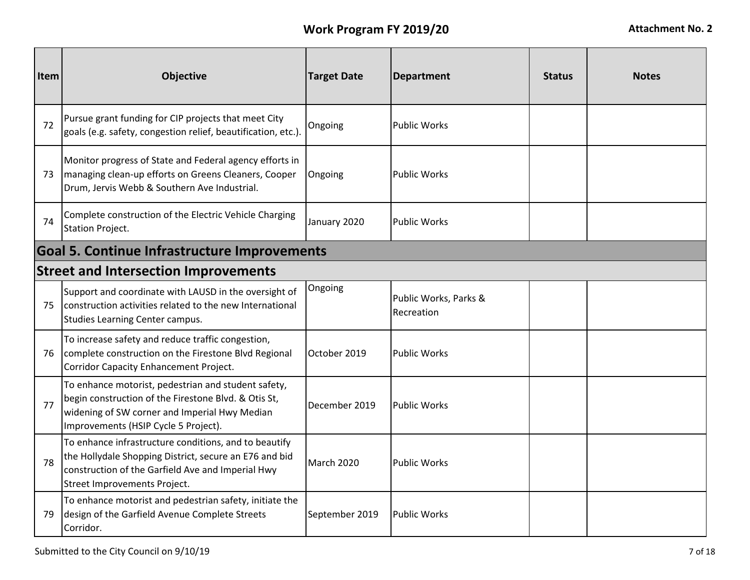| Item | <b>Objective</b>                                                                                                                                                                                     | <b>Target Date</b> | <b>Department</b>                   | <b>Status</b> | <b>Notes</b> |  |  |  |
|------|------------------------------------------------------------------------------------------------------------------------------------------------------------------------------------------------------|--------------------|-------------------------------------|---------------|--------------|--|--|--|
| 72   | Pursue grant funding for CIP projects that meet City<br>goals (e.g. safety, congestion relief, beautification, etc.).                                                                                | Ongoing            | <b>Public Works</b>                 |               |              |  |  |  |
| 73   | Monitor progress of State and Federal agency efforts in<br>managing clean-up efforts on Greens Cleaners, Cooper<br>Drum, Jervis Webb & Southern Ave Industrial.                                      | Ongoing            | <b>Public Works</b>                 |               |              |  |  |  |
| 74   | Complete construction of the Electric Vehicle Charging<br><b>Station Project.</b>                                                                                                                    | January 2020       | <b>Public Works</b>                 |               |              |  |  |  |
|      | <b>Goal 5. Continue Infrastructure Improvements</b>                                                                                                                                                  |                    |                                     |               |              |  |  |  |
|      | <b>Street and Intersection Improvements</b>                                                                                                                                                          |                    |                                     |               |              |  |  |  |
| 75   | Support and coordinate with LAUSD in the oversight of<br>construction activities related to the new International<br>Studies Learning Center campus.                                                 | Ongoing            | Public Works, Parks &<br>Recreation |               |              |  |  |  |
| 76   | To increase safety and reduce traffic congestion,<br>complete construction on the Firestone Blvd Regional<br>Corridor Capacity Enhancement Project.                                                  | October 2019       | <b>Public Works</b>                 |               |              |  |  |  |
| 77   | To enhance motorist, pedestrian and student safety,<br>begin construction of the Firestone Blvd. & Otis St,<br>widening of SW corner and Imperial Hwy Median<br>Improvements (HSIP Cycle 5 Project). | December 2019      | <b>Public Works</b>                 |               |              |  |  |  |
| 78   | To enhance infrastructure conditions, and to beautify<br>the Hollydale Shopping District, secure an E76 and bid<br>construction of the Garfield Ave and Imperial Hwy<br>Street Improvements Project. | March 2020         | <b>Public Works</b>                 |               |              |  |  |  |
| 79   | To enhance motorist and pedestrian safety, initiate the<br>design of the Garfield Avenue Complete Streets<br>Corridor.                                                                               | September 2019     | <b>Public Works</b>                 |               |              |  |  |  |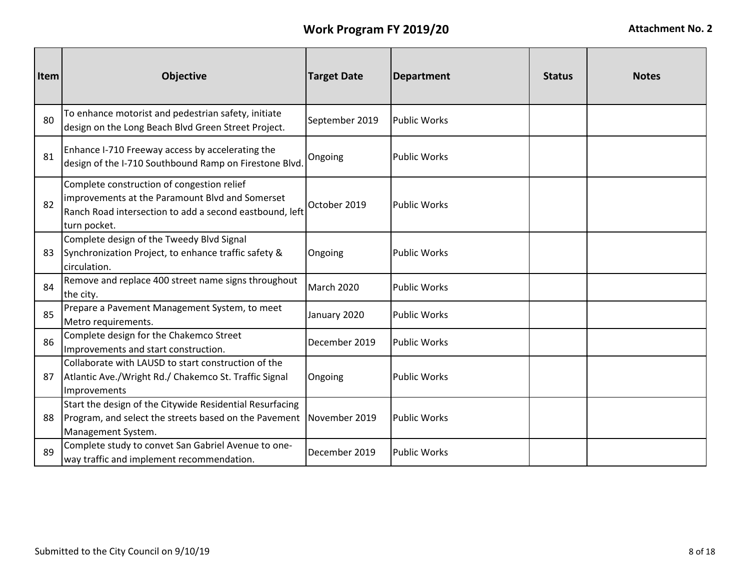| Item | Objective                                                                                                                                                                | <b>Target Date</b> | <b>Department</b>   | <b>Status</b> | <b>Notes</b> |
|------|--------------------------------------------------------------------------------------------------------------------------------------------------------------------------|--------------------|---------------------|---------------|--------------|
| 80   | To enhance motorist and pedestrian safety, initiate<br>design on the Long Beach Blvd Green Street Project.                                                               | September 2019     | <b>Public Works</b> |               |              |
| 81   | Enhance I-710 Freeway access by accelerating the<br>design of the I-710 Southbound Ramp on Firestone Blvd.                                                               | Ongoing            | <b>Public Works</b> |               |              |
| 82   | Complete construction of congestion relief<br>improvements at the Paramount Blvd and Somerset<br>Ranch Road intersection to add a second eastbound, left<br>turn pocket. | October 2019       | <b>Public Works</b> |               |              |
| 83   | Complete design of the Tweedy Blvd Signal<br>Synchronization Project, to enhance traffic safety &<br>circulation.                                                        | Ongoing            | <b>Public Works</b> |               |              |
| 84   | Remove and replace 400 street name signs throughout<br>the city.                                                                                                         | March 2020         | <b>Public Works</b> |               |              |
| 85   | Prepare a Pavement Management System, to meet<br>Metro requirements.                                                                                                     | January 2020       | <b>Public Works</b> |               |              |
| 86   | Complete design for the Chakemco Street<br>Improvements and start construction.                                                                                          | December 2019      | <b>Public Works</b> |               |              |
| 87   | Collaborate with LAUSD to start construction of the<br>Atlantic Ave./Wright Rd./ Chakemco St. Traffic Signal<br>Improvements                                             | Ongoing            | <b>Public Works</b> |               |              |
| 88   | Start the design of the Citywide Residential Resurfacing<br>Program, and select the streets based on the Pavement<br>Management System.                                  | November 2019      | <b>Public Works</b> |               |              |
| 89   | Complete study to convet San Gabriel Avenue to one-<br>way traffic and implement recommendation.                                                                         | December 2019      | <b>Public Works</b> |               |              |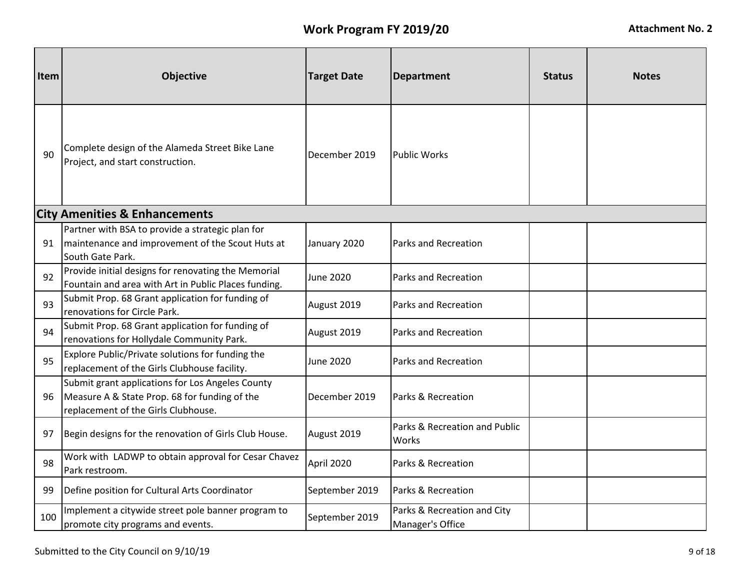| <b>Item</b> | Objective                                                                                                                                | <b>Target Date</b> | <b>Department</b>                               | <b>Status</b> | <b>Notes</b> |
|-------------|------------------------------------------------------------------------------------------------------------------------------------------|--------------------|-------------------------------------------------|---------------|--------------|
| 90          | Complete design of the Alameda Street Bike Lane<br>Project, and start construction.                                                      | December 2019      | <b>Public Works</b>                             |               |              |
|             | <b>City Amenities &amp; Enhancements</b>                                                                                                 |                    |                                                 |               |              |
| 91          | Partner with BSA to provide a strategic plan for<br>maintenance and improvement of the Scout Huts at<br>South Gate Park.                 | January 2020       | Parks and Recreation                            |               |              |
| 92          | Provide initial designs for renovating the Memorial<br>Fountain and area with Art in Public Places funding.                              | June 2020          | <b>Parks and Recreation</b>                     |               |              |
| 93          | Submit Prop. 68 Grant application for funding of<br>renovations for Circle Park.                                                         | August 2019        | Parks and Recreation                            |               |              |
| 94          | Submit Prop. 68 Grant application for funding of<br>renovations for Hollydale Community Park.                                            | August 2019        | <b>Parks and Recreation</b>                     |               |              |
| 95          | Explore Public/Private solutions for funding the<br>replacement of the Girls Clubhouse facility.                                         | June 2020          | Parks and Recreation                            |               |              |
| 96          | Submit grant applications for Los Angeles County<br>Measure A & State Prop. 68 for funding of the<br>replacement of the Girls Clubhouse. | December 2019      | Parks & Recreation                              |               |              |
| 97          | Begin designs for the renovation of Girls Club House.                                                                                    | August 2019        | Parks & Recreation and Public<br>Works          |               |              |
| 98          | Work with LADWP to obtain approval for Cesar Chavez<br>Park restroom.                                                                    | April 2020         | Parks & Recreation                              |               |              |
| 99          | Define position for Cultural Arts Coordinator                                                                                            | September 2019     | Parks & Recreation                              |               |              |
| 100         | Implement a citywide street pole banner program to<br>promote city programs and events.                                                  | September 2019     | Parks & Recreation and City<br>Manager's Office |               |              |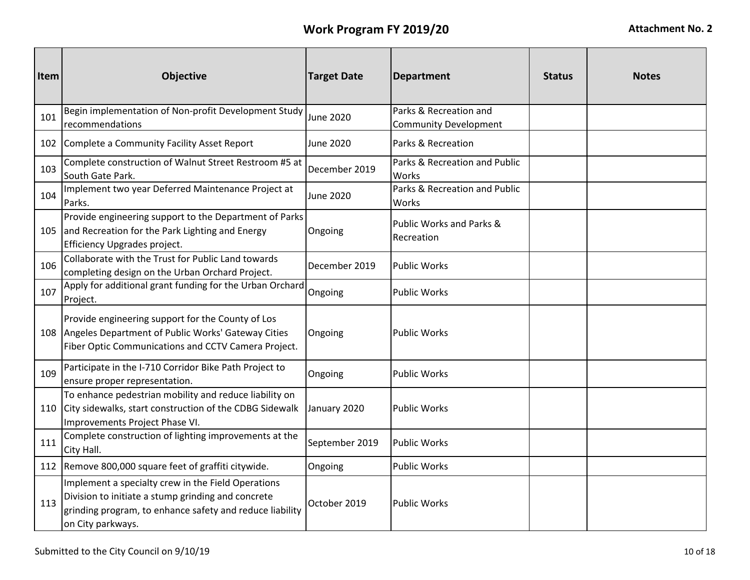| Item | <b>Objective</b>                                                                                                                                                                          | <b>Target Date</b> | <b>Department</b>                                      | <b>Status</b> | <b>Notes</b> |
|------|-------------------------------------------------------------------------------------------------------------------------------------------------------------------------------------------|--------------------|--------------------------------------------------------|---------------|--------------|
| 101  | Begin implementation of Non-profit Development Study<br>recommendations                                                                                                                   | June 2020          | Parks & Recreation and<br><b>Community Development</b> |               |              |
|      | 102 Complete a Community Facility Asset Report                                                                                                                                            | <b>June 2020</b>   | Parks & Recreation                                     |               |              |
| 103  | Complete construction of Walnut Street Restroom #5 at<br>South Gate Park.                                                                                                                 | December 2019      | Parks & Recreation and Public<br>Works                 |               |              |
| 104  | Implement two year Deferred Maintenance Project at<br>Parks.                                                                                                                              | June 2020          | Parks & Recreation and Public<br>Works                 |               |              |
| 105  | Provide engineering support to the Department of Parks<br>and Recreation for the Park Lighting and Energy<br>Efficiency Upgrades project.                                                 | Ongoing            | Public Works and Parks &<br>Recreation                 |               |              |
| 106  | Collaborate with the Trust for Public Land towards<br>completing design on the Urban Orchard Project.                                                                                     | December 2019      | <b>Public Works</b>                                    |               |              |
| 107  | Apply for additional grant funding for the Urban Orchard<br>Project.                                                                                                                      | Ongoing            | <b>Public Works</b>                                    |               |              |
|      | Provide engineering support for the County of Los<br>108 Angeles Department of Public Works' Gateway Cities<br>Fiber Optic Communications and CCTV Camera Project.                        | Ongoing            | <b>Public Works</b>                                    |               |              |
| 109  | Participate in the I-710 Corridor Bike Path Project to<br>ensure proper representation.                                                                                                   | Ongoing            | <b>Public Works</b>                                    |               |              |
| 110  | To enhance pedestrian mobility and reduce liability on<br>City sidewalks, start construction of the CDBG Sidewalk<br>Improvements Project Phase VI.                                       | January 2020       | <b>Public Works</b>                                    |               |              |
| 111  | Complete construction of lighting improvements at the<br>City Hall.                                                                                                                       | September 2019     | <b>Public Works</b>                                    |               |              |
|      | 112 Remove 800,000 square feet of graffiti citywide.                                                                                                                                      | Ongoing            | <b>Public Works</b>                                    |               |              |
| 113  | Implement a specialty crew in the Field Operations<br>Division to initiate a stump grinding and concrete<br>grinding program, to enhance safety and reduce liability<br>on City parkways. | October 2019       | <b>Public Works</b>                                    |               |              |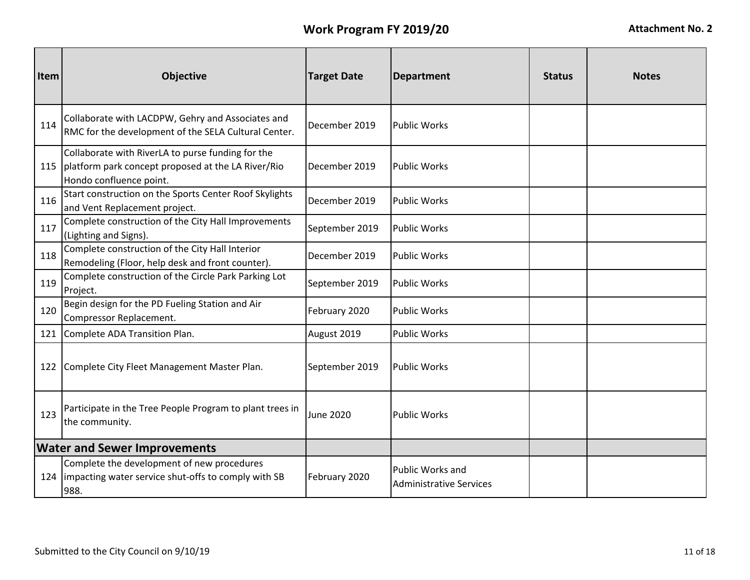| <b>Item</b> | <b>Objective</b>                                                                                                                   | <b>Target Date</b> | <b>Department</b>                                  | <b>Status</b> | <b>Notes</b> |
|-------------|------------------------------------------------------------------------------------------------------------------------------------|--------------------|----------------------------------------------------|---------------|--------------|
| 114         | Collaborate with LACDPW, Gehry and Associates and<br>RMC for the development of the SELA Cultural Center.                          | December 2019      | <b>Public Works</b>                                |               |              |
| 115         | Collaborate with RiverLA to purse funding for the<br>platform park concept proposed at the LA River/Rio<br>Hondo confluence point. | December 2019      | <b>Public Works</b>                                |               |              |
| 116         | Start construction on the Sports Center Roof Skylights<br>and Vent Replacement project.                                            | December 2019      | <b>Public Works</b>                                |               |              |
| 117         | Complete construction of the City Hall Improvements<br>(Lighting and Signs).                                                       | September 2019     | <b>Public Works</b>                                |               |              |
| 118         | Complete construction of the City Hall Interior<br>Remodeling (Floor, help desk and front counter).                                | December 2019      | <b>Public Works</b>                                |               |              |
| 119         | Complete construction of the Circle Park Parking Lot<br>Project.                                                                   | September 2019     | <b>Public Works</b>                                |               |              |
| 120         | Begin design for the PD Fueling Station and Air<br>Compressor Replacement.                                                         | February 2020      | <b>Public Works</b>                                |               |              |
| 121         | Complete ADA Transition Plan.                                                                                                      | August 2019        | <b>Public Works</b>                                |               |              |
|             | 122 Complete City Fleet Management Master Plan.                                                                                    | September 2019     | <b>Public Works</b>                                |               |              |
| 123         | Participate in the Tree People Program to plant trees in<br>the community.                                                         | <b>June 2020</b>   | <b>Public Works</b>                                |               |              |
|             | <b>Water and Sewer Improvements</b>                                                                                                |                    |                                                    |               |              |
|             | Complete the development of new procedures<br>124   impacting water service shut-offs to comply with SB<br>988.                    | February 2020      | Public Works and<br><b>Administrative Services</b> |               |              |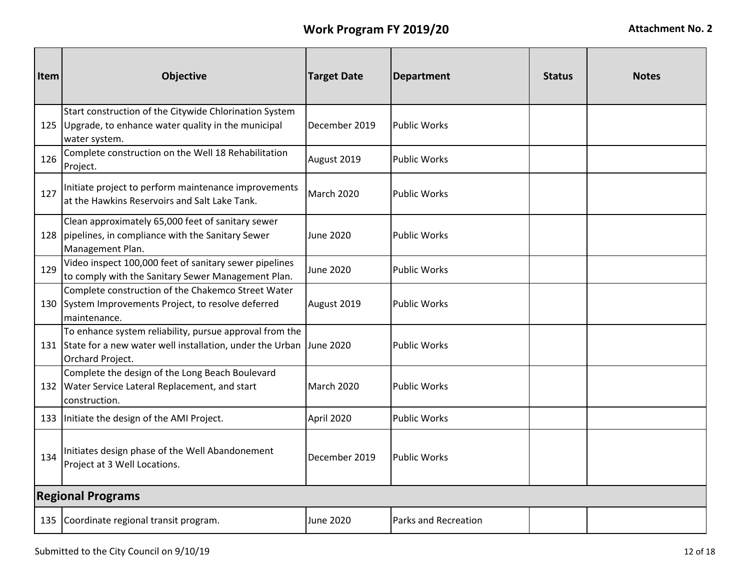| Item | <b>Objective</b>                                                                                                                                      | <b>Target Date</b> | <b>Department</b>           | <b>Status</b> | <b>Notes</b> |
|------|-------------------------------------------------------------------------------------------------------------------------------------------------------|--------------------|-----------------------------|---------------|--------------|
|      | Start construction of the Citywide Chlorination System<br>125 Upgrade, to enhance water quality in the municipal<br>water system.                     | December 2019      | <b>Public Works</b>         |               |              |
| 126  | Complete construction on the Well 18 Rehabilitation<br>Project.                                                                                       | August 2019        | <b>Public Works</b>         |               |              |
| 127  | Initiate project to perform maintenance improvements<br>at the Hawkins Reservoirs and Salt Lake Tank.                                                 | <b>March 2020</b>  | <b>Public Works</b>         |               |              |
| 128  | Clean approximately 65,000 feet of sanitary sewer<br>pipelines, in compliance with the Sanitary Sewer<br>Management Plan.                             | June 2020          | <b>Public Works</b>         |               |              |
| 129  | Video inspect 100,000 feet of sanitary sewer pipelines<br>to comply with the Sanitary Sewer Management Plan.                                          | June 2020          | <b>Public Works</b>         |               |              |
|      | Complete construction of the Chakemco Street Water<br>130 System Improvements Project, to resolve deferred<br>maintenance.                            | August 2019        | <b>Public Works</b>         |               |              |
|      | To enhance system reliability, pursue approval from the<br>131 State for a new water well installation, under the Urban June 2020<br>Orchard Project. |                    | <b>Public Works</b>         |               |              |
|      | Complete the design of the Long Beach Boulevard<br>132 Water Service Lateral Replacement, and start<br>construction.                                  | March 2020         | <b>Public Works</b>         |               |              |
|      | 133 Initiate the design of the AMI Project.                                                                                                           | April 2020         | <b>Public Works</b>         |               |              |
| 134  | Initiates design phase of the Well Abandonement<br>Project at 3 Well Locations.                                                                       | December 2019      | <b>Public Works</b>         |               |              |
|      | <b>Regional Programs</b>                                                                                                                              |                    |                             |               |              |
|      | 135 Coordinate regional transit program.                                                                                                              | June 2020          | <b>Parks and Recreation</b> |               |              |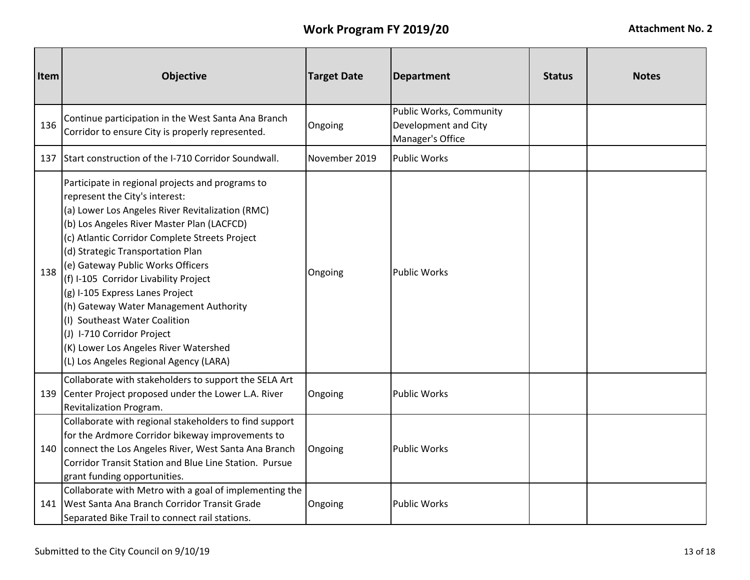| Item | Objective                                                                                                                                                                                                                                                                                                                                                                                                                                                                                                                                                                                | <b>Target Date</b> | <b>Department</b>                                                   | <b>Status</b> | <b>Notes</b> |
|------|------------------------------------------------------------------------------------------------------------------------------------------------------------------------------------------------------------------------------------------------------------------------------------------------------------------------------------------------------------------------------------------------------------------------------------------------------------------------------------------------------------------------------------------------------------------------------------------|--------------------|---------------------------------------------------------------------|---------------|--------------|
| 136  | Continue participation in the West Santa Ana Branch<br>Corridor to ensure City is properly represented.                                                                                                                                                                                                                                                                                                                                                                                                                                                                                  | Ongoing            | Public Works, Community<br>Development and City<br>Manager's Office |               |              |
|      | 137 Start construction of the I-710 Corridor Soundwall.                                                                                                                                                                                                                                                                                                                                                                                                                                                                                                                                  | November 2019      | <b>Public Works</b>                                                 |               |              |
| 138  | Participate in regional projects and programs to<br>represent the City's interest:<br>(a) Lower Los Angeles River Revitalization (RMC)<br>(b) Los Angeles River Master Plan (LACFCD)<br>(c) Atlantic Corridor Complete Streets Project<br>(d) Strategic Transportation Plan<br>(e) Gateway Public Works Officers<br>(f) I-105 Corridor Livability Project<br>(g) I-105 Express Lanes Project<br>(h) Gateway Water Management Authority<br>(I) Southeast Water Coalition<br>(J) I-710 Corridor Project<br>(K) Lower Los Angeles River Watershed<br>(L) Los Angeles Regional Agency (LARA) | Ongoing            | <b>Public Works</b>                                                 |               |              |
| 139  | Collaborate with stakeholders to support the SELA Art<br>Center Project proposed under the Lower L.A. River<br>Revitalization Program.                                                                                                                                                                                                                                                                                                                                                                                                                                                   | Ongoing            | <b>Public Works</b>                                                 |               |              |
| 140  | Collaborate with regional stakeholders to find support<br>for the Ardmore Corridor bikeway improvements to<br>connect the Los Angeles River, West Santa Ana Branch<br>Corridor Transit Station and Blue Line Station. Pursue<br>grant funding opportunities.                                                                                                                                                                                                                                                                                                                             | Ongoing            | <b>Public Works</b>                                                 |               |              |
| 141  | Collaborate with Metro with a goal of implementing the<br>IWest Santa Ana Branch Corridor Transit Grade<br>Separated Bike Trail to connect rail stations.                                                                                                                                                                                                                                                                                                                                                                                                                                | Ongoing            | <b>Public Works</b>                                                 |               |              |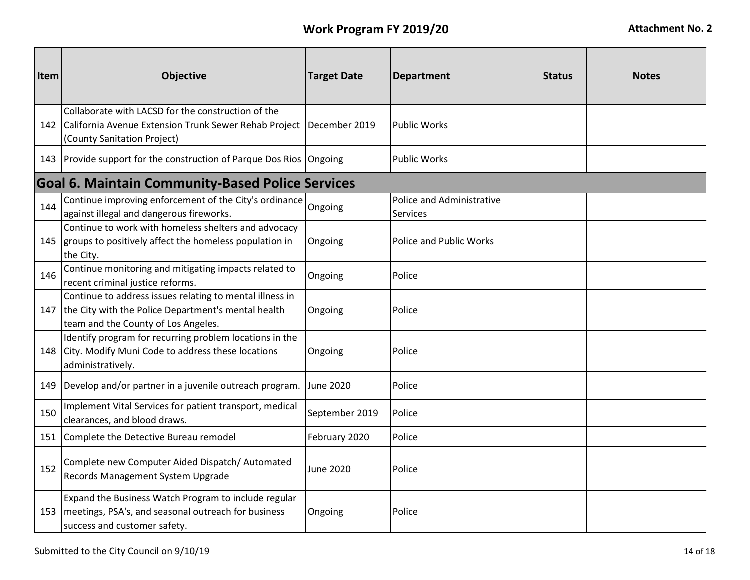| Item | <b>Objective</b>                                                                                                                                       | <b>Target Date</b> | <b>Department</b>                     | <b>Status</b> | <b>Notes</b> |
|------|--------------------------------------------------------------------------------------------------------------------------------------------------------|--------------------|---------------------------------------|---------------|--------------|
| 142  | Collaborate with LACSD for the construction of the<br>California Avenue Extension Trunk Sewer Rehab Project<br>(County Sanitation Project)             | December 2019      | <b>Public Works</b>                   |               |              |
|      | 143 Provide support for the construction of Parque Dos Rios Ongoing                                                                                    |                    | <b>Public Works</b>                   |               |              |
|      | <b>Goal 6. Maintain Community-Based Police Services</b>                                                                                                |                    |                                       |               |              |
| 144  | Continue improving enforcement of the City's ordinance<br>against illegal and dangerous fireworks.                                                     | Ongoing            | Police and Administrative<br>Services |               |              |
| 145  | Continue to work with homeless shelters and advocacy<br>groups to positively affect the homeless population in<br>the City.                            | Ongoing            | Police and Public Works               |               |              |
| 146  | Continue monitoring and mitigating impacts related to<br>recent criminal justice reforms.                                                              | Ongoing            | Police                                |               |              |
| 147  | Continue to address issues relating to mental illness in<br>the City with the Police Department's mental health<br>team and the County of Los Angeles. | Ongoing            | Police                                |               |              |
| 148  | Identify program for recurring problem locations in the<br>City. Modify Muni Code to address these locations<br>administratively.                      | Ongoing            | Police                                |               |              |
|      | 149   Develop and/or partner in a juvenile outreach program.                                                                                           | <b>June 2020</b>   | Police                                |               |              |
| 150  | Implement Vital Services for patient transport, medical<br>clearances, and blood draws.                                                                | September 2019     | Police                                |               |              |
|      | 151 Complete the Detective Bureau remodel                                                                                                              | February 2020      | Police                                |               |              |
| 152  | Complete new Computer Aided Dispatch/Automated<br>Records Management System Upgrade                                                                    | June 2020          | Police                                |               |              |
| 153  | Expand the Business Watch Program to include regular<br>meetings, PSA's, and seasonal outreach for business<br>success and customer safety.            | Ongoing            | Police                                |               |              |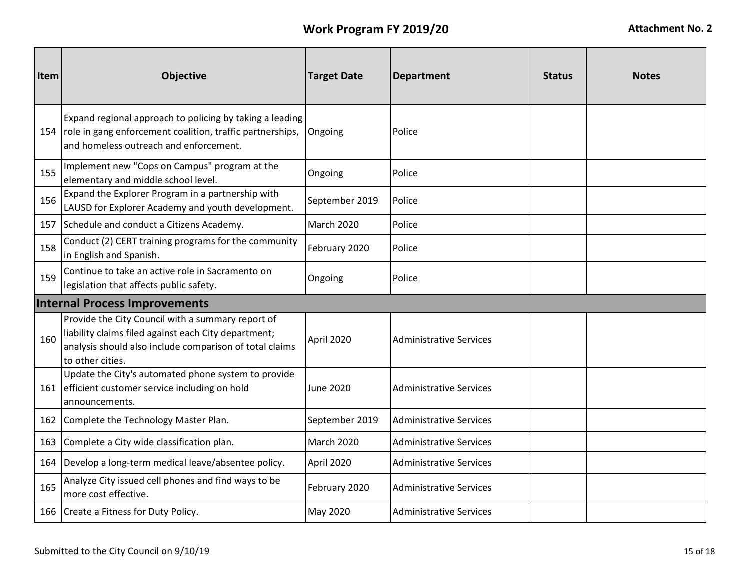| Item | <b>Objective</b>                                                                                                                                                                         | <b>Target Date</b> | <b>Department</b>              | <b>Status</b> | <b>Notes</b> |  |  |
|------|------------------------------------------------------------------------------------------------------------------------------------------------------------------------------------------|--------------------|--------------------------------|---------------|--------------|--|--|
|      | Expand regional approach to policing by taking a leading<br>154   role in gang enforcement coalition, traffic partnerships,<br>and homeless outreach and enforcement.                    | Ongoing            | Police                         |               |              |  |  |
| 155  | Implement new "Cops on Campus" program at the<br>elementary and middle school level.                                                                                                     | Ongoing            | Police                         |               |              |  |  |
| 156  | Expand the Explorer Program in a partnership with<br>LAUSD for Explorer Academy and youth development.                                                                                   | September 2019     | Police                         |               |              |  |  |
|      | 157 Schedule and conduct a Citizens Academy.                                                                                                                                             | March 2020         | Police                         |               |              |  |  |
| 158  | Conduct (2) CERT training programs for the community<br>in English and Spanish.                                                                                                          | February 2020      | Police                         |               |              |  |  |
| 159  | Continue to take an active role in Sacramento on<br>legislation that affects public safety.                                                                                              | Ongoing            | Police                         |               |              |  |  |
|      | <b>Internal Process Improvements</b>                                                                                                                                                     |                    |                                |               |              |  |  |
| 160  | Provide the City Council with a summary report of<br>liability claims filed against each City department;<br>analysis should also include comparison of total claims<br>to other cities. | April 2020         | <b>Administrative Services</b> |               |              |  |  |
|      | Update the City's automated phone system to provide<br>161 efficient customer service including on hold<br>announcements.                                                                | <b>June 2020</b>   | <b>Administrative Services</b> |               |              |  |  |
|      | 162 Complete the Technology Master Plan.                                                                                                                                                 | September 2019     | <b>Administrative Services</b> |               |              |  |  |
| 163  | Complete a City wide classification plan.                                                                                                                                                | March 2020         | <b>Administrative Services</b> |               |              |  |  |
| 164  | Develop a long-term medical leave/absentee policy.                                                                                                                                       | April 2020         | <b>Administrative Services</b> |               |              |  |  |
| 165  | Analyze City issued cell phones and find ways to be<br>more cost effective.                                                                                                              | February 2020      | <b>Administrative Services</b> |               |              |  |  |
|      | 166 Create a Fitness for Duty Policy.                                                                                                                                                    | May 2020           | <b>Administrative Services</b> |               |              |  |  |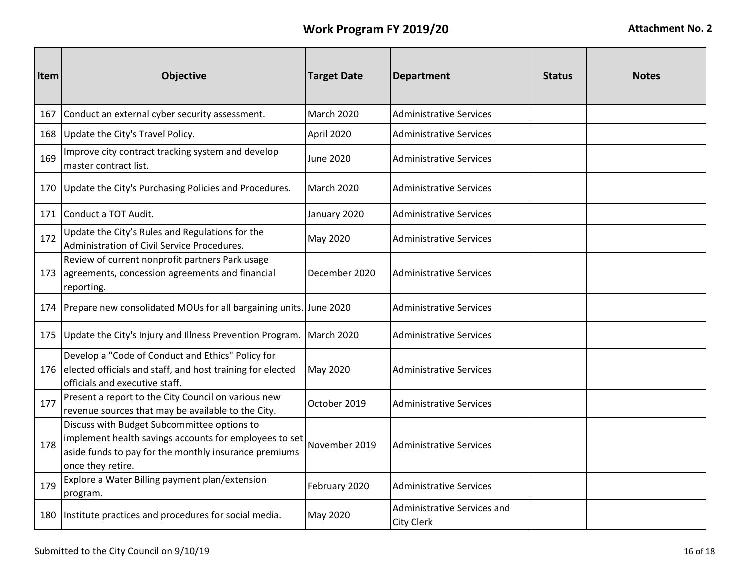| Item | <b>Objective</b>                                                                                                                                                                    | <b>Target Date</b> | <b>Department</b>                                | <b>Status</b> | <b>Notes</b> |
|------|-------------------------------------------------------------------------------------------------------------------------------------------------------------------------------------|--------------------|--------------------------------------------------|---------------|--------------|
| 167  | Conduct an external cyber security assessment.                                                                                                                                      | March 2020         | <b>Administrative Services</b>                   |               |              |
| 168  | Update the City's Travel Policy.                                                                                                                                                    | April 2020         | <b>Administrative Services</b>                   |               |              |
| 169  | Improve city contract tracking system and develop<br>master contract list.                                                                                                          | June 2020          | <b>Administrative Services</b>                   |               |              |
| 170  | Update the City's Purchasing Policies and Procedures.                                                                                                                               | March 2020         | Administrative Services                          |               |              |
|      | 171 Conduct a TOT Audit.                                                                                                                                                            | January 2020       | Administrative Services                          |               |              |
| 172  | Update the City's Rules and Regulations for the<br>Administration of Civil Service Procedures.                                                                                      | May 2020           | <b>Administrative Services</b>                   |               |              |
|      | Review of current nonprofit partners Park usage<br>173 agreements, concession agreements and financial<br>reporting.                                                                | December 2020      | <b>Administrative Services</b>                   |               |              |
|      | 174 Prepare new consolidated MOUs for all bargaining units.                                                                                                                         | <b>June 2020</b>   | <b>Administrative Services</b>                   |               |              |
|      | 175 Update the City's Injury and Illness Prevention Program.                                                                                                                        | March 2020         | <b>Administrative Services</b>                   |               |              |
|      | Develop a "Code of Conduct and Ethics" Policy for<br>176 elected officials and staff, and host training for elected<br>officials and executive staff.                               | May 2020           | <b>Administrative Services</b>                   |               |              |
| 177  | Present a report to the City Council on various new<br>revenue sources that may be available to the City.                                                                           | October 2019       | <b>Administrative Services</b>                   |               |              |
| 178  | Discuss with Budget Subcommittee options to<br>implement health savings accounts for employees to set<br>aside funds to pay for the monthly insurance premiums<br>once they retire. | November 2019      | <b>Administrative Services</b>                   |               |              |
| 179  | Explore a Water Billing payment plan/extension<br>program.                                                                                                                          | February 2020      | <b>Administrative Services</b>                   |               |              |
| 180  | Institute practices and procedures for social media.                                                                                                                                | May 2020           | Administrative Services and<br><b>City Clerk</b> |               |              |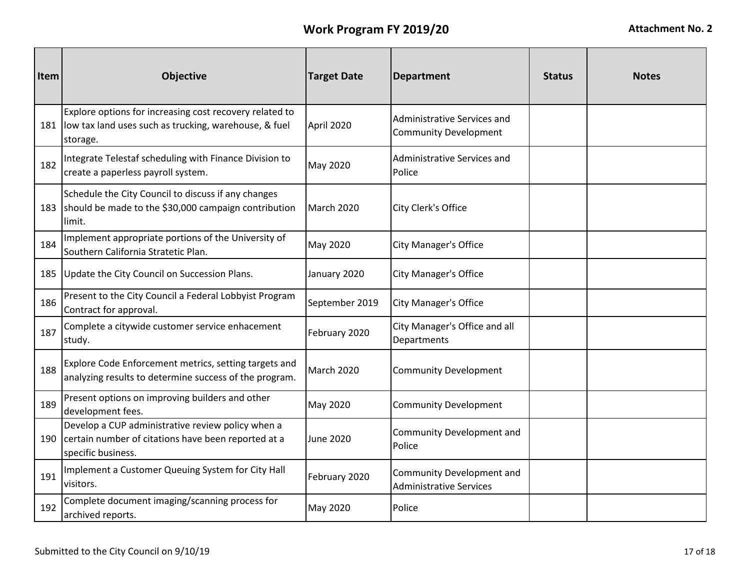| Item | <b>Objective</b>                                                                                                                   | <b>Target Date</b> | <b>Department</b>                                           | <b>Status</b> | <b>Notes</b> |
|------|------------------------------------------------------------------------------------------------------------------------------------|--------------------|-------------------------------------------------------------|---------------|--------------|
|      | Explore options for increasing cost recovery related to<br>181   low tax land uses such as trucking, warehouse, & fuel<br>storage. | April 2020         | Administrative Services and<br><b>Community Development</b> |               |              |
| 182  | Integrate Telestaf scheduling with Finance Division to<br>create a paperless payroll system.                                       | May 2020           | Administrative Services and<br>Police                       |               |              |
|      | Schedule the City Council to discuss if any changes<br>183 should be made to the \$30,000 campaign contribution<br>limit.          | March 2020         | City Clerk's Office                                         |               |              |
| 184  | Implement appropriate portions of the University of<br>Southern California Stratetic Plan.                                         | May 2020           | <b>City Manager's Office</b>                                |               |              |
|      | 185 Update the City Council on Succession Plans.                                                                                   | January 2020       | <b>City Manager's Office</b>                                |               |              |
| 186  | Present to the City Council a Federal Lobbyist Program<br>Contract for approval.                                                   | September 2019     | <b>City Manager's Office</b>                                |               |              |
| 187  | Complete a citywide customer service enhacement<br>study.                                                                          | February 2020      | City Manager's Office and all<br>Departments                |               |              |
| 188  | Explore Code Enforcement metrics, setting targets and<br>analyzing results to determine success of the program.                    | <b>March 2020</b>  | <b>Community Development</b>                                |               |              |
| 189  | Present options on improving builders and other<br>development fees.                                                               | May 2020           | <b>Community Development</b>                                |               |              |
| 190  | Develop a CUP administrative review policy when a<br>certain number of citations have been reported at a<br>specific business.     | <b>June 2020</b>   | Community Development and<br>Police                         |               |              |
| 191  | Implement a Customer Queuing System for City Hall<br>visitors.                                                                     | February 2020      | Community Development and<br><b>Administrative Services</b> |               |              |
| 192  | Complete document imaging/scanning process for<br>archived reports.                                                                | May 2020           | Police                                                      |               |              |